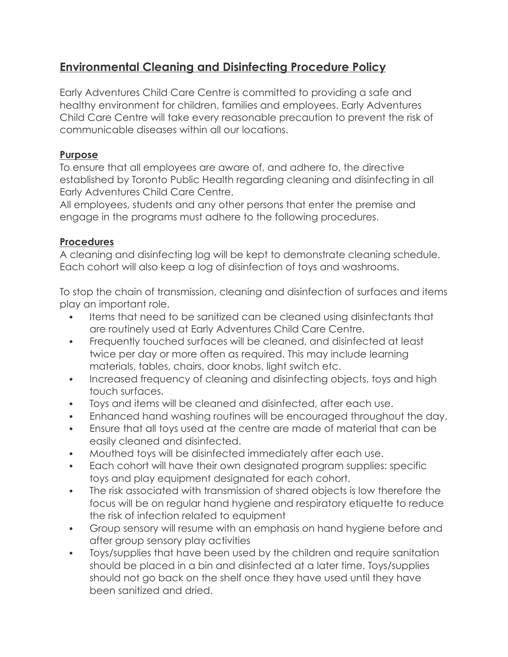# **Environmental Cleaning and Disinfecting Procedure Policy**

Early Adventures Child Care Centre is committed to providing a safe and healthy environment for children, families and employees. Early Adventures Child Care Centre will take every reasonable precaution to prevent the risk of communicable diseases within all our locations.

# **Purpose**

To ensure that all employees are aware of, and adhere to, the directive established by Toronto Public Health regarding cleaning and disinfecting in all Early Adventures Child Care Centre.

All employees, students and any other persons that enter the premise and engage in the programs must adhere to the following procedures.

# **Procedures**

A cleaning and disinfecting log will be kept to demonstrate cleaning schedule. Each cohort will also keep a log of disinfection of toys and washrooms.

To stop the chain of transmission, cleaning and disinfection of surfaces and items play an important role.

- Items that need to be sanitized can be cleaned using disinfectants that are routinely used at Early Adventures Child Care Centre.
- Frequently touched surfaces will be cleaned, and disinfected at least twice per day or more often as required. This may include learning materials, tables, chairs, door knobs, light switch etc.
- Increased frequency of cleaning and disinfecting objects, toys and high touch surfaces.
- Toys and items will be cleaned and disinfected, after each use.
- Enhanced hand washing routines will be encouraged throughout the day.
- Ensure that all toys used at the centre are made of material that can be easily cleaned and disinfected.
- Mouthed toys will be disinfected immediately after each use.
- Each cohort will have their own designated program supplies: specific toys and play equipment designated for each cohort.
- The risk associated with transmission of shared objects is low therefore the focus will be on regular hand hygiene and respiratory etiquette to reduce the risk of infection related to equipment
- Group sensory will resume with an emphasis on hand hygiene before and after group sensory play activities
- Toys/supplies that have been used by the children and require sanitation should be placed in a bin and disinfected at a later time. Toys/supplies should not go back on the shelf once they have used until they have been sanitized and dried.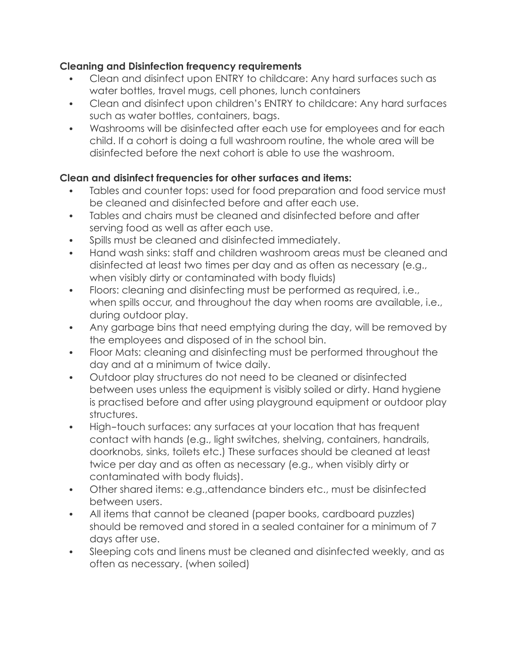# **Cleaning and Disinfection frequency requirements**

- Clean and disinfect upon ENTRY to childcare: Any hard surfaces such as water bottles, travel mugs, cell phones, lunch containers
- Clean and disinfect upon children's ENTRY to childcare: Any hard surfaces such as water bottles, containers, bags.
- Washrooms will be disinfected after each use for employees and for each child. If a cohort is doing a full washroom routine, the whole area will be disinfected before the next cohort is able to use the washroom.

# **Clean and disinfect frequencies for other surfaces and items:**

- Tables and counter tops: used for food preparation and food service must be cleaned and disinfected before and after each use.
- Tables and chairs must be cleaned and disinfected before and after serving food as well as after each use.
- Spills must be cleaned and disinfected immediately.
- Hand wash sinks: staff and children washroom areas must be cleaned and disinfected at least two times per day and as often as necessary (e.g., when visibly dirty or contaminated with body fluids)
- Floors: cleaning and disinfecting must be performed as required, i.e., when spills occur, and throughout the day when rooms are available, i.e., during outdoor play.
- Any garbage bins that need emptying during the day, will be removed by the employees and disposed of in the school bin.
- Floor Mats: cleaning and disinfecting must be performed throughout the day and at a minimum of twice daily.
- Outdoor play structures do not need to be cleaned or disinfected between uses unless the equipment is visibly soiled or dirty. Hand hygiene is practised before and after using playground equipment or outdoor play structures.
- High-touch surfaces: any surfaces at your location that has frequent contact with hands (e.g., light switches, shelving, containers, handrails, doorknobs, sinks, toilets etc.) These surfaces should be cleaned at least twice per day and as often as necessary (e.g., when visibly dirty or contaminated with body fluids).
- Other shared items: e.g.,attendance binders etc., must be disinfected between users.
- All items that cannot be cleaned (paper books, cardboard puzzles) should be removed and stored in a sealed container for a minimum of 7 days after use.
- Sleeping cots and linens must be cleaned and disinfected weekly, and as often as necessary. (when soiled)